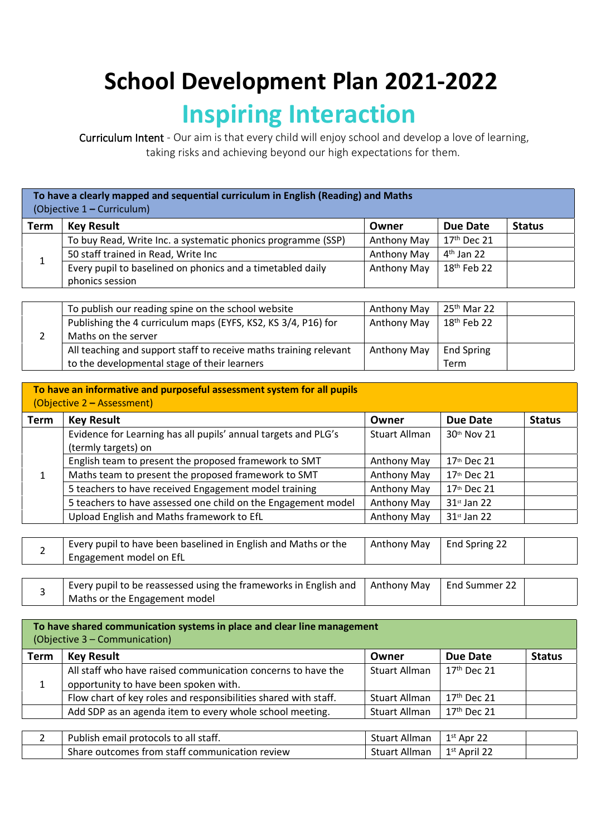## **School Development Plan 2021-2022 Inspiring Interaction**

Curriculum Intent - Our aim is that every child will enjoy school and develop a love of learning, taking risks and achieving beyond our high expectations for them.

| To have a clearly mapped and sequential curriculum in English (Reading) and Maths<br>(Objective 1 – Curriculum) |                                                                               |             |               |  |  |  |  |
|-----------------------------------------------------------------------------------------------------------------|-------------------------------------------------------------------------------|-------------|---------------|--|--|--|--|
| <b>Term</b>                                                                                                     | <b>Key Result</b><br><b>Status</b><br>Due Date<br>Owner                       |             |               |  |  |  |  |
|                                                                                                                 | To buy Read, Write Inc. a systematic phonics programme (SSP)                  | Anthony May | $17th$ Dec 21 |  |  |  |  |
|                                                                                                                 | 50 staff trained in Read, Write Inc                                           | Anthony May | $4th$ Jan 22  |  |  |  |  |
|                                                                                                                 | Every pupil to baselined on phonics and a timetabled daily<br>phonics session | Anthony May | $18th$ Feb 22 |  |  |  |  |

| To publish our reading spine on the school website                | Anthony May | $25th$ Mar 22     |  |
|-------------------------------------------------------------------|-------------|-------------------|--|
| Publishing the 4 curriculum maps (EYFS, KS2, KS 3/4, P16) for     | Anthony May | $18th$ Feb 22     |  |
| Maths on the server                                               |             |                   |  |
| All teaching and support staff to receive maths training relevant | Anthony May | <b>End Spring</b> |  |
| to the developmental stage of their learners                      |             | Term              |  |

|               | To have an informative and purposeful assessment system for all pupils<br>(Objective 2 – Assessment) |                         |                           |               |
|---------------|------------------------------------------------------------------------------------------------------|-------------------------|---------------------------|---------------|
| <b>Term</b>   | <b>Key Result</b>                                                                                    | Owner                   | <b>Due Date</b>           | <b>Status</b> |
|               | Evidence for Learning has all pupils' annual targets and PLG's<br>(termly targets) on                | Stuart Allman           | 30th Nov 21               |               |
|               | English team to present the proposed framework to SMT                                                | Anthony May             | 17th Dec 21               |               |
| 1             | Maths team to present the proposed framework to SMT                                                  | Anthony May             | 17th Dec 21               |               |
|               | 5 teachers to have received Engagement model training                                                | Anthony May             | 17th Dec 21               |               |
|               | 5 teachers to have assessed one child on the Engagement model                                        | Anthony May             | $31$ <sup>st</sup> Jan 22 |               |
|               | Upload English and Maths framework to EfL                                                            | Anthony May             | $31$ st Jan 22            |               |
|               |                                                                                                      |                         |                           |               |
| $\mathcal{P}$ | Every pupil to have been baselined in English and Maths or the<br>Engagement model on EfL            | Anthony May             | End Spring 22             |               |
|               |                                                                                                      |                         |                           |               |
|               | Evant pupil to be reseaseed using the frameworks in English and                                      | $A_0 + A_1 - A_2 - A_3$ | Fad Cumman 22             |               |

|  | Every pupil to be reassessed using the frameworks in English and   Anthony May | End Summer 22                 |  |  |
|--|--------------------------------------------------------------------------------|-------------------------------|--|--|
|  |                                                                                | Maths or the Engagement model |  |  |
|  |                                                                                |                               |  |  |

| To have shared communication systems in place and clear line management<br>(Objective 3 – Communication) |                                                                                                       |               |                          |               |  |
|----------------------------------------------------------------------------------------------------------|-------------------------------------------------------------------------------------------------------|---------------|--------------------------|---------------|--|
| <b>Term</b>                                                                                              | <b>Key Result</b>                                                                                     | Owner         | Due Date                 | <b>Status</b> |  |
|                                                                                                          | All staff who have raised communication concerns to have the<br>opportunity to have been spoken with. | Stuart Allman | 17 <sup>th</sup> Dec 21  |               |  |
|                                                                                                          | Flow chart of key roles and responsibilities shared with staff.                                       | Stuart Allman | $17th$ Dec 21            |               |  |
|                                                                                                          | Add SDP as an agenda item to every whole school meeting.                                              | Stuart Allman | $17th$ Dec 21            |               |  |
|                                                                                                          |                                                                                                       |               |                          |               |  |
|                                                                                                          | Publish email protocols to all staff.                                                                 | Stuart Allman | $1st$ Apr 22             |               |  |
|                                                                                                          | Share outcomes from staff communication review                                                        | Stuart Allman | 1 <sup>st</sup> April 22 |               |  |